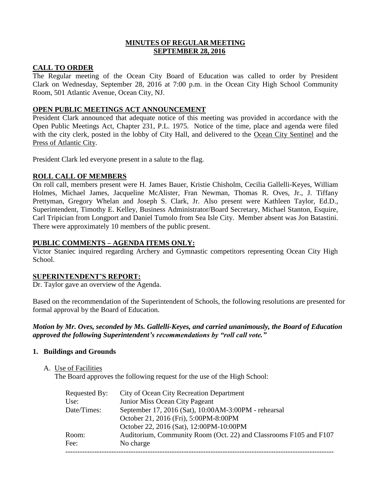### **MINUTES OF REGULAR MEETING SEPTEMBER 28, 2016**

# **CALL TO ORDER**

The Regular meeting of the Ocean City Board of Education was called to order by President Clark on Wednesday, September 28, 2016 at 7:00 p.m. in the Ocean City High School Community Room, 501 Atlantic Avenue, Ocean City, NJ.

# **OPEN PUBLIC MEETINGS ACT ANNOUNCEMENT**

President Clark announced that adequate notice of this meeting was provided in accordance with the Open Public Meetings Act, Chapter 231, P.L. 1975. Notice of the time, place and agenda were filed with the city clerk, posted in the lobby of City Hall, and delivered to the Ocean City Sentinel and the Press of Atlantic City.

President Clark led everyone present in a salute to the flag.

# **ROLL CALL OF MEMBERS**

On roll call, members present were H. James Bauer, Kristie Chisholm, Cecilia Gallelli-Keyes, William Holmes, Michael James, Jacqueline McAlister, Fran Newman, Thomas R. Oves, Jr., J. Tiffany Prettyman, Gregory Whelan and Joseph S. Clark, Jr. Also present were Kathleen Taylor, Ed.D., Superintendent, Timothy E. Kelley, Business Administrator/Board Secretary, Michael Stanton, Esquire, Carl Tripician from Longport and Daniel Tumolo from Sea Isle City. Member absent was Jon Batastini. There were approximately 10 members of the public present.

### **PUBLIC COMMENTS – AGENDA ITEMS ONLY:**

Victor Staniec inquired regarding Archery and Gymnastic competitors representing Ocean City High School.

#### **SUPERINTENDENT'S REPORT:**

Dr. Taylor gave an overview of the Agenda.

Based on the recommendation of the Superintendent of Schools, the following resolutions are presented for formal approval by the Board of Education.

# *Motion by Mr. Oves, seconded by Ms. Gallelli-Keyes, and carried unanimously, the Board of Education approved the following Superintendent's recommendations by "roll call vote."*

# **1. Buildings and Grounds**

A. Use of Facilities

The Board approves the following request for the use of the High School:

| Requested By: | <b>City of Ocean City Recreation Department</b>                   |
|---------------|-------------------------------------------------------------------|
| Use:          | Junior Miss Ocean City Pageant                                    |
| Date/Times:   | September 17, 2016 (Sat), 10:00AM-3:00PM - rehearsal              |
|               | October 21, 2016 (Fri), 5:00PM-8:00PM                             |
|               | October 22, 2016 (Sat), 12:00PM-10:00PM                           |
| Room:         | Auditorium, Community Room (Oct. 22) and Classrooms F105 and F107 |
| Fee:          | No charge                                                         |
|               |                                                                   |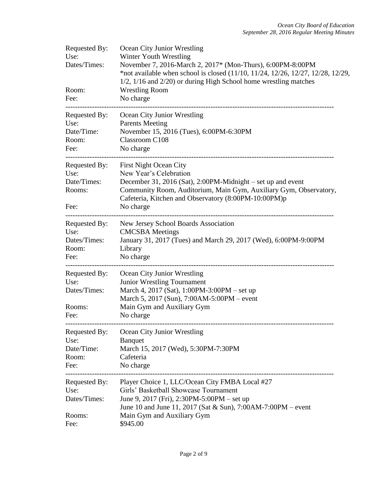| Requested By:<br>Use:<br>Dates/Times:<br>Room:<br>Fee:  | Ocean City Junior Wrestling<br>Winter Youth Wrestling<br>November 7, 2016-March 2, 2017* (Mon-Thurs), 6:00PM-8:00PM<br>*not available when school is closed $(11/10, 11/24, 12/26, 12/27, 12/28, 12/29,$<br>$1/2$ , $1/16$ and $2/20$ ) or during High School home wrestling matches<br><b>Wrestling Room</b><br>No charge |  |  |
|---------------------------------------------------------|----------------------------------------------------------------------------------------------------------------------------------------------------------------------------------------------------------------------------------------------------------------------------------------------------------------------------|--|--|
| Requested By:<br>Use:<br>Date/Time:<br>Room:<br>Fee:    | Ocean City Junior Wrestling<br><b>Parents Meeting</b><br>November 15, 2016 (Tues), 6:00PM-6:30PM<br>Classroom C108<br>No charge                                                                                                                                                                                            |  |  |
| Requested By:<br>Use:<br>Date/Times:<br>Rooms:<br>Fee:  | <b>First Night Ocean City</b><br>New Year's Celebration<br>December 31, 2016 (Sat), 2:00PM-Midnight – set up and event<br>Community Room, Auditorium, Main Gym, Auxiliary Gym, Observatory,<br>Cafeteria, Kitchen and Observatory (8:00PM-10:00PM)p<br>No charge                                                           |  |  |
| Requested By:<br>Use:<br>Dates/Times:<br>Room:<br>Fee:  | New Jersey School Boards Association<br><b>CMCSBA</b> Meetings<br>January 31, 2017 (Tues) and March 29, 2017 (Wed), 6:00PM-9:00PM<br>Library<br>No charge                                                                                                                                                                  |  |  |
| Requested By:<br>Use:<br>Dates/Times:<br>Rooms:<br>Fee: | Ocean City Junior Wrestling<br>Junior Wrestling Tournament<br>March 4, 2017 (Sat), 1:00PM-3:00PM – set up<br>March 5, 2017 (Sun), 7:00AM-5:00PM – event<br>Main Gym and Auxiliary Gym<br>No charge                                                                                                                         |  |  |
| Requested By:<br>Use:<br>Date/Time:<br>Room:<br>Fee:    | Ocean City Junior Wrestling<br><b>Banquet</b><br>March 15, 2017 (Wed), 5:30PM-7:30PM<br>Cafeteria<br>No charge                                                                                                                                                                                                             |  |  |
| Requested By:<br>Use:<br>Dates/Times:<br>Rooms:<br>Fee: | Player Choice 1, LLC/Ocean City FMBA Local #27<br>Girls' Basketball Showcase Tournament<br>June 9, 2017 (Fri), 2:30PM-5:00PM - set up<br>June 10 and June 11, 2017 (Sat & Sun), 7:00AM-7:00PM – event<br>Main Gym and Auxiliary Gym<br>\$945.00                                                                            |  |  |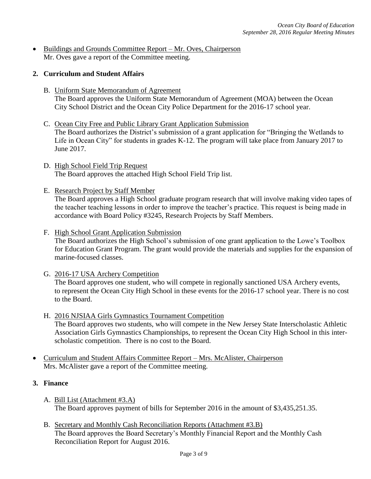• Buildings and Grounds Committee Report – Mr. Oves, Chairperson Mr. Oves gave a report of the Committee meeting.

### **2. Curriculum and Student Affairs**

- B. Uniform State Memorandum of Agreement The Board approves the Uniform State Memorandum of Agreement (MOA) between the Ocean City School District and the Ocean City Police Department for the 2016-17 school year.
- C. Ocean City Free and Public Library Grant Application Submission The Board authorizes the District's submission of a grant application for "Bringing the Wetlands to Life in Ocean City" for students in grades K-12. The program will take place from January 2017 to June 2017.
- D. High School Field Trip Request The Board approves the attached High School Field Trip list.
- E. Research Project by Staff Member

The Board approves a High School graduate program research that will involve making video tapes of the teacher teaching lessons in order to improve the teacher's practice. This request is being made in accordance with Board Policy #3245, Research Projects by Staff Members.

- F. High School Grant Application Submission The Board authorizes the High School's submission of one grant application to the Lowe's Toolbox for Education Grant Program. The grant would provide the materials and supplies for the expansion of marine-focused classes.
- G. 2016-17 USA Archery Competition The Board approves one student, who will compete in regionally sanctioned USA Archery events, to represent the Ocean City High School in these events for the 2016-17 school year. There is no cost to the Board.
- H. 2016 NJSIAA Girls Gymnastics Tournament Competition The Board approves two students, who will compete in the New Jersey State Interscholastic Athletic Association Girls Gymnastics Championships, to represent the Ocean City High School in this interscholastic competition. There is no cost to the Board.
- Curriculum and Student Affairs Committee Report Mrs. McAlister, Chairperson Mrs. McAlister gave a report of the Committee meeting.

### **3. Finance**

- A. Bill List (Attachment #3.A) The Board approves payment of bills for September 2016 in the amount of \$3,435,251.35.
- B. Secretary and Monthly Cash Reconciliation Reports (Attachment #3.B) The Board approves the Board Secretary's Monthly Financial Report and the Monthly Cash Reconciliation Report for August 2016.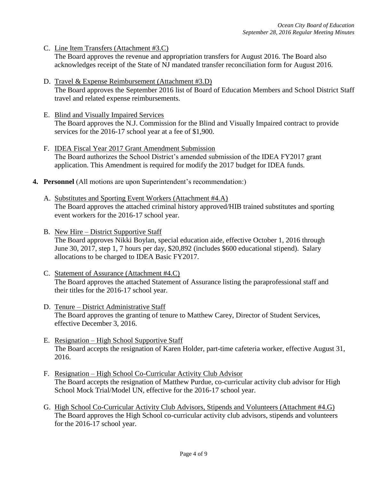C. Line Item Transfers (Attachment #3.C)

The Board approves the revenue and appropriation transfers for August 2016. The Board also acknowledges receipt of the State of NJ mandated transfer reconciliation form for August 2016.

- D. Travel & Expense Reimbursement (Attachment #3.D) The Board approves the September 2016 list of Board of Education Members and School District Staff travel and related expense reimbursements.
- E. Blind and Visually Impaired Services The Board approves the N.J. Commission for the Blind and Visually Impaired contract to provide services for the 2016-17 school year at a fee of \$1,900.
- F. IDEA Fiscal Year 2017 Grant Amendment Submission The Board authorizes the School District's amended submission of the IDEA FY2017 grant application. This Amendment is required for modify the 2017 budget for IDEA funds.
- **4. Personnel** (All motions are upon Superintendent's recommendation:)
	- A. Substitutes and Sporting Event Workers (Attachment #4.A) The Board approves the attached criminal history approved/HIB trained substitutes and sporting event workers for the 2016-17 school year.
	- B. New Hire District Supportive Staff The Board approves Nikki Boylan, special education aide, effective October 1, 2016 through June 30, 2017, step 1, 7 hours per day, \$20,892 (includes \$600 educational stipend). Salary allocations to be charged to IDEA Basic FY2017.
	- C. Statement of Assurance (Attachment #4.C) The Board approves the attached Statement of Assurance listing the paraprofessional staff and their titles for the 2016-17 school year.
	- D. Tenure District Administrative Staff The Board approves the granting of tenure to Matthew Carey, Director of Student Services, effective December 3, 2016.
	- E. Resignation High School Supportive Staff The Board accepts the resignation of Karen Holder, part-time cafeteria worker, effective August 31, 2016.
	- F. Resignation High School Co-Curricular Activity Club Advisor The Board accepts the resignation of Matthew Purdue, co-curricular activity club advisor for High School Mock Trial/Model UN, effective for the 2016-17 school year.
	- G. High School Co-Curricular Activity Club Advisors, Stipends and Volunteers (Attachment #4.G) The Board approves the High School co-curricular activity club advisors, stipends and volunteers for the 2016-17 school year.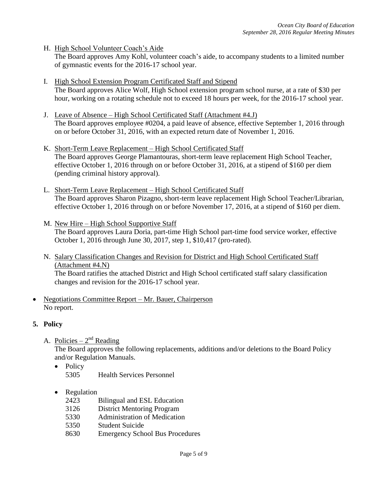H. High School Volunteer Coach's Aide

The Board approves Amy Kohl, volunteer coach's aide, to accompany students to a limited number of gymnastic events for the 2016-17 school year.

- I. High School Extension Program Certificated Staff and Stipend The Board approves Alice Wolf, High School extension program school nurse, at a rate of \$30 per hour, working on a rotating schedule not to exceed 18 hours per week, for the 2016-17 school year.
- J. Leave of Absence High School Certificated Staff (Attachment #4.J) The Board approves employee #0204, a paid leave of absence, effective September 1, 2016 through on or before October 31, 2016, with an expected return date of November 1, 2016.
- K. Short-Term Leave Replacement High School Certificated Staff The Board approves George Plamantouras*,* short-term leave replacement High School Teacher, effective October 1, 2016 through on or before October 31, 2016, at a stipend of \$160 per diem (pending criminal history approval).
- L. Short-Term Leave Replacement High School Certificated Staff The Board approves Sharon Pizagno, short-term leave replacement High School Teacher/Librarian, effective October 1, 2016 through on or before November 17, 2016, at a stipend of \$160 per diem.
- M. New Hire High School Supportive Staff The Board approves Laura Doria, part-time High School part-time food service worker, effective October 1, 2016 through June 30, 2017, step 1, \$10,417 (pro-rated).
- N. Salary Classification Changes and Revision for District and High School Certificated Staff (Attachment #4.N) The Board ratifies the attached District and High School certificated staff salary classification changes and revision for the 2016-17 school year.
- Negotiations Committee Report Mr. Bauer, Chairperson No report.

# **5. Policy**

A. Policies –  $2^{nd}$  Reading

The Board approves the following replacements, additions and/or deletions to the Board Policy and/or Regulation Manuals.

- Policy 5305 Health Services Personnel
- Regulation
	- 2423 Bilingual and ESL Education
	- 3126 District Mentoring Program
	- 5330 Administration of Medication
	- 5350 Student Suicide
	- 8630 Emergency School Bus Procedures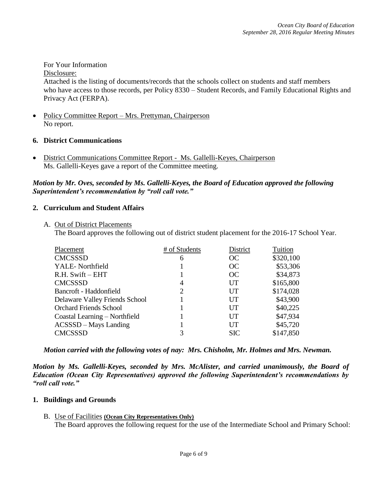### For Your Information

Disclosure:

Attached is the listing of documents/records that the schools collect on students and staff members who have access to those records, per Policy 8330 – Student Records, and Family Educational Rights and Privacy Act (FERPA).

 Policy Committee Report – Mrs. Prettyman, Chairperson No report.

### **6. District Communications**

 District Communications Committee Report - Ms. Gallelli-Keyes, Chairperson Ms. Gallelli-Keyes gave a report of the Committee meeting.

### *Motion by Mr. Oves, seconded by Ms. Gallelli-Keyes, the Board of Education approved the following Superintendent's recommendation by "roll call vote."*

### **2. Curriculum and Student Affairs**

A. Out of District Placements

The Board approves the following out of district student placement for the 2016-17 School Year.

| Placement                      | # of Students  | District   | Tuition   |
|--------------------------------|----------------|------------|-----------|
| <b>CMCSSSD</b>                 | 6              | OC         | \$320,100 |
| YALE-Northfield                |                | OC         | \$53,306  |
| R.H. Swift – EHT               |                | OC         | \$34,873  |
| <b>CMCSSSD</b>                 | $\overline{4}$ | UT         | \$165,800 |
| Bancroft - Haddonfield         | 2              | UT         | \$174,028 |
| Delaware Valley Friends School |                | UT         | \$43,900  |
| <b>Orchard Friends School</b>  |                | UT         | \$40,225  |
| Coastal Learning – Northfield  |                | UT         | \$47,934  |
| ACSSSD - Mays Landing          |                | UT         | \$45,720  |
| <b>CMCSSSD</b>                 | 3              | <b>SIC</b> | \$147,850 |

*Motion carried with the following votes of nay: Mrs. Chisholm, Mr. Holmes and Mrs. Newman.*

*Motion by Ms. Gallelli-Keyes, seconded by Mrs. McAlister, and carried unanimously, the Board of Education (Ocean City Representatives) approved the following Superintendent's recommendations by "roll call vote."* 

#### **1. Buildings and Grounds**

#### B. Use of Facilities **(Ocean City Representatives Only)**

The Board approves the following request for the use of the Intermediate School and Primary School: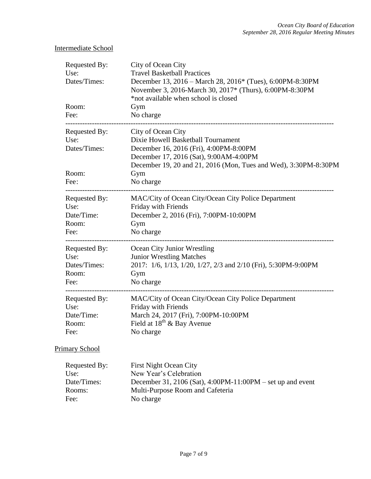# Intermediate School

| Requested By:<br>Use:<br>Dates/Times:<br>Room:<br>Fee:                      | City of Ocean City<br><b>Travel Basketball Practices</b><br>December 13, 2016 – March 28, 2016* (Tues), 6:00PM-8:30PM<br>November 3, 2016-March 30, 2017* (Thurs), 6:00PM-8:30PM<br>*not available when school is closed<br>Gym<br>No charge |
|-----------------------------------------------------------------------------|----------------------------------------------------------------------------------------------------------------------------------------------------------------------------------------------------------------------------------------------|
| Requested By:<br>Use:<br>Dates/Times:<br>Room:<br>Fee:                      | City of Ocean City<br>Dixie Howell Basketball Tournament<br>December 16, 2016 (Fri), 4:00PM-8:00PM<br>December 17, 2016 (Sat), 9:00AM-4:00PM<br>December 19, 20 and 21, 2016 (Mon, Tues and Wed), 3:30PM-8:30PM<br>Gym<br>No charge          |
| Requested By:<br>Use:<br>Date/Time:<br>Room:<br>Fee:                        | MAC/City of Ocean City/Ocean City Police Department<br>Friday with Friends<br>December 2, 2016 (Fri), 7:00PM-10:00PM<br>Gym<br>No charge                                                                                                     |
| Requested By:<br>Use:<br>Dates/Times:<br>Room:<br>Fee:                      | Ocean City Junior Wrestling<br><b>Junior Wrestling Matches</b><br>2017: 1/6, 1/13, 1/20, 1/27, 2/3 and 2/10 (Fri), 5:30PM-9:00PM<br>Gym<br>No charge                                                                                         |
| -------------------<br>Requested By:<br>Use:<br>Date/Time:<br>Room:<br>Fee: | MAC/City of Ocean City/Ocean City Police Department<br>Friday with Friends<br>March 24, 2017 (Fri), 7:00PM-10:00PM<br>Field at $18^{th}$ & Bay Avenue<br>No charge                                                                           |
| <b>Primary School</b>                                                       |                                                                                                                                                                                                                                              |
| Requested By:<br>Use:<br>Date/Times:<br>Rooms:<br>Fee:                      | <b>First Night Ocean City</b><br>New Year's Celebration<br>December 31, 2106 (Sat), 4:00PM-11:00PM – set up and event<br>Multi-Purpose Room and Cafeteria<br>No charge                                                                       |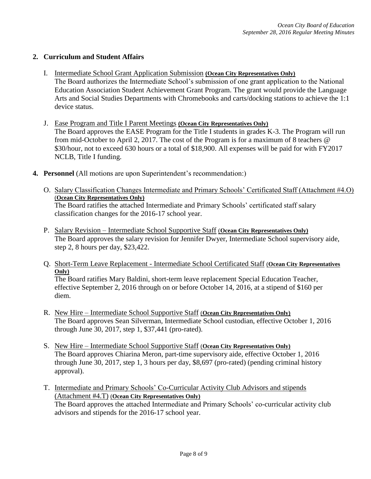### **2. Curriculum and Student Affairs**

- I. Intermediate School Grant Application Submission **(Ocean City Representatives Only)** The Board authorizes the Intermediate School's submission of one grant application to the National Education Association Student Achievement Grant Program. The grant would provide the Language Arts and Social Studies Departments with Chromebooks and carts/docking stations to achieve the 1:1 device status.
- J. Ease Program and Title I Parent Meetings **(Ocean City Representatives Only)**  The Board approves the EASE Program for the Title I students in grades K-3. The Program will run from mid-October to April 2, 2017. The cost of the Program is for a maximum of 8 teachers @ \$30/hour, not to exceed 630 hours or a total of \$18,900. All expenses will be paid for with FY2017 NCLB, Title I funding.
- **4. Personnel** (All motions are upon Superintendent's recommendation:)
	- O. Salary Classification Changes Intermediate and Primary Schools' Certificated Staff (Attachment #4.O) (**Ocean City Representatives Only)** The Board ratifies the attached Intermediate and Primary Schools' certificated staff salary classification changes for the 2016-17 school year.
	- P. Salary Revision Intermediate School Supportive Staff (**Ocean City Representatives Only)** The Board approves the salary revision for Jennifer Dwyer, Intermediate School supervisory aide, step 2, 8 hours per day, \$23,422.
	- Q. Short-Term Leave Replacement Intermediate School Certificated Staff (**Ocean City Representatives Only)**

The Board ratifies Mary Baldini, short-term leave replacement Special Education Teacher, effective September 2, 2016 through on or before October 14, 2016, at a stipend of \$160 per diem.

- R. New Hire Intermediate School Supportive Staff (**Ocean City Representatives Only)** The Board approves Sean Silverman, Intermediate School custodian, effective October 1, 2016 through June 30, 2017, step 1, \$37,441 (pro-rated).
- S. New Hire Intermediate School Supportive Staff (**Ocean City Representatives Only)** The Board approves Chiarina Meron*,* part-time supervisory aide, effective October 1, 2016 through June 30, 2017, step 1, 3 hours per day, \$8,697 (pro-rated) (pending criminal history approval).
- T. Intermediate and Primary Schools' Co-Curricular Activity Club Advisors and stipends (Attachment #4.T) (**Ocean City Representatives Only)**

The Board approves the attached Intermediate and Primary Schools' co-curricular activity club advisors and stipends for the 2016-17 school year.